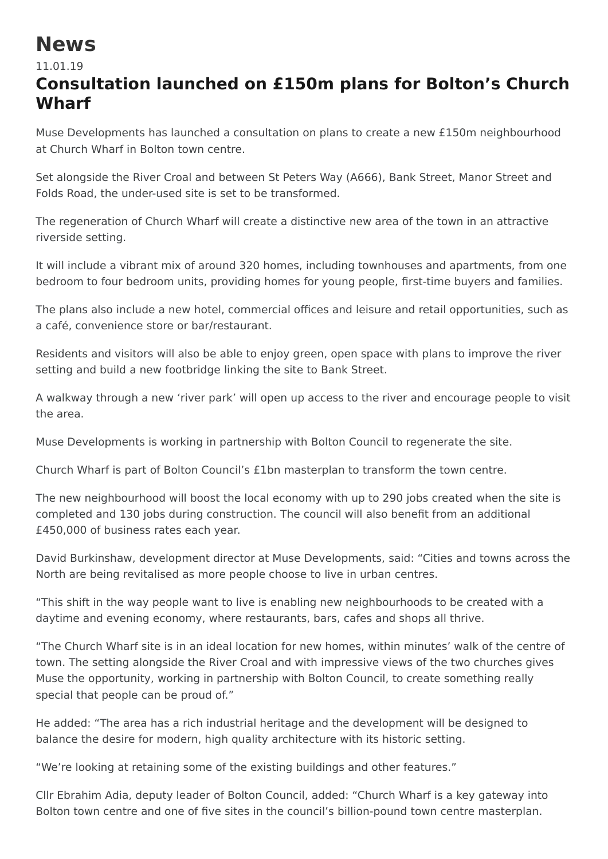## **News**

11.01.19

## **Consultation launched on £150m plans for Bolton's Church Wharf**

Muse Developments has launched a consultation on plans to create a new £150m neighbourhood at Church Wharf in Bolton town centre.

Set alongside the River Croal and between St Peters Way (A666), Bank Street, Manor Street and Folds Road, the under-used site is set to be transformed.

The regeneration of Church Wharf will create a distinctive new area of the town in an attractive riverside setting.

It will include a vibrant mix of around 320 homes, including townhouses and apartments, from one bedroom to four bedroom units, providing homes for young people, first-time buyers and families.

The plans also include a new hotel, commercial offices and leisure and retail opportunities, such as a café, convenience store or bar/restaurant.

Residents and visitors will also be able to enjoy green, open space with plans to improve the river setting and build a new footbridge linking the site to Bank Street.

A walkway through a new 'river park' will open up access to the river and encourage people to visit the area.

Muse Developments is working in partnership with Bolton Council to regenerate the site.

Church Wharf is part of Bolton Council's £1bn masterplan to transform the town centre.

The new neighbourhood will boost the local economy with up to 290 jobs created when the site is completed and 130 jobs during construction. The council will also benefit from an additional £450,000 of business rates each year.

David Burkinshaw, development director at Muse Developments, said: "Cities and towns across the North are being revitalised as more people choose to live in urban centres.

"This shift in the way people want to live is enabling new neighbourhoods to be created with a daytime and evening economy, where restaurants, bars, cafes and shops all thrive.

"The Church Wharf site is in an ideal location for new homes, within minutes' walk of the centre of town. The setting alongside the River Croal and with impressive views of the two churches gives Muse the opportunity, working in partnership with Bolton Council, to create something really special that people can be proud of."

He added: "The area has a rich industrial heritage and the development will be designed to balance the desire for modern, high quality architecture with its historic setting.

"We're looking at retaining some of the existing buildings and other features."

Cllr Ebrahim Adia, deputy leader of Bolton Council, added: "Church Wharf is a key gateway into Bolton town centre and one of five sites in the council's billion-pound town centre masterplan.